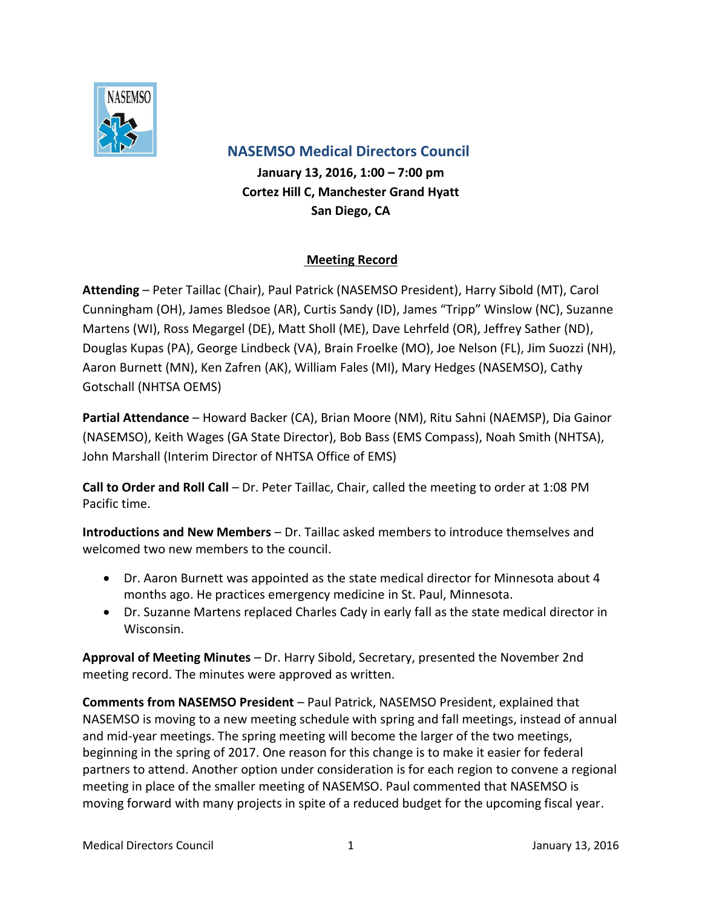

 **NASEMSO Medical Directors Council**

**January 13, 2016, 1:00 – 7:00 pm Cortez Hill C, Manchester Grand Hyatt San Diego, CA**

## **Meeting Record**

**Attending** – Peter Taillac (Chair), Paul Patrick (NASEMSO President), Harry Sibold (MT), Carol Cunningham (OH), James Bledsoe (AR), Curtis Sandy (ID), James "Tripp" Winslow (NC), Suzanne Martens (WI), Ross Megargel (DE), Matt Sholl (ME), Dave Lehrfeld (OR), Jeffrey Sather (ND), Douglas Kupas (PA), George Lindbeck (VA), Brain Froelke (MO), Joe Nelson (FL), Jim Suozzi (NH), Aaron Burnett (MN), Ken Zafren (AK), William Fales (MI), Mary Hedges (NASEMSO), Cathy Gotschall (NHTSA OEMS)

**Partial Attendance** – Howard Backer (CA), Brian Moore (NM), Ritu Sahni (NAEMSP), Dia Gainor (NASEMSO), Keith Wages (GA State Director), Bob Bass (EMS Compass), Noah Smith (NHTSA), John Marshall (Interim Director of NHTSA Office of EMS)

**Call to Order and Roll Call** – Dr. Peter Taillac, Chair, called the meeting to order at 1:08 PM Pacific time.

**Introductions and New Members** – Dr. Taillac asked members to introduce themselves and welcomed two new members to the council.

- Dr. Aaron Burnett was appointed as the state medical director for Minnesota about 4 months ago. He practices emergency medicine in St. Paul, Minnesota.
- Dr. Suzanne Martens replaced Charles Cady in early fall as the state medical director in Wisconsin.

**Approval of Meeting Minutes** – Dr. Harry Sibold, Secretary, presented the November 2nd meeting record. The minutes were approved as written.

**Comments from NASEMSO President** – Paul Patrick, NASEMSO President, explained that NASEMSO is moving to a new meeting schedule with spring and fall meetings, instead of annual and mid-year meetings. The spring meeting will become the larger of the two meetings, beginning in the spring of 2017. One reason for this change is to make it easier for federal partners to attend. Another option under consideration is for each region to convene a regional meeting in place of the smaller meeting of NASEMSO. Paul commented that NASEMSO is moving forward with many projects in spite of a reduced budget for the upcoming fiscal year.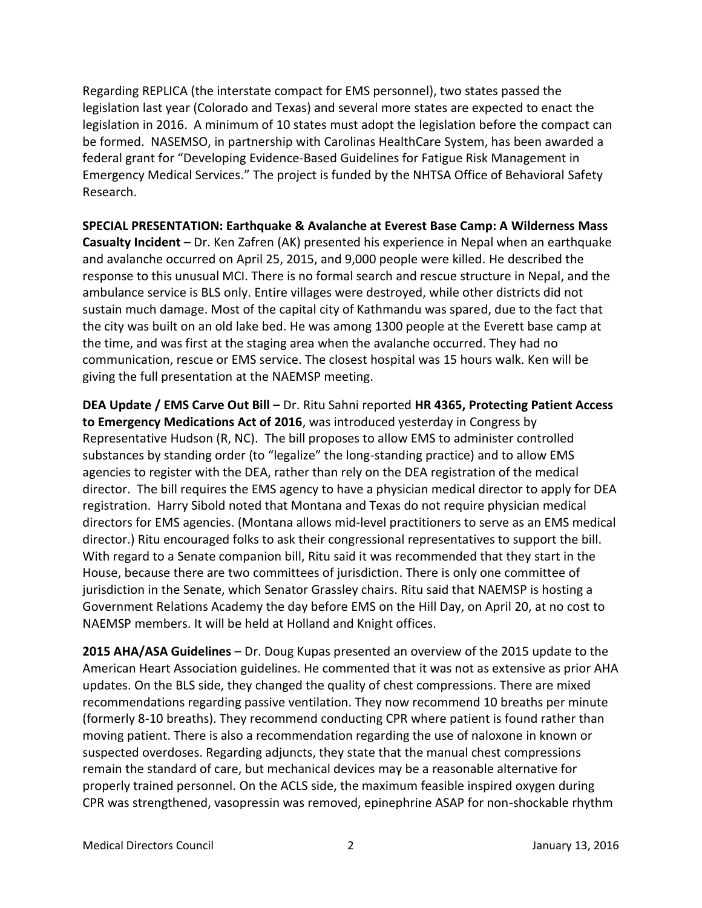Regarding REPLICA (the interstate compact for EMS personnel), two states passed the legislation last year (Colorado and Texas) and several more states are expected to enact the legislation in 2016. A minimum of 10 states must adopt the legislation before the compact can be formed. NASEMSO, in partnership with Carolinas HealthCare System, has been awarded a federal grant for "Developing Evidence-Based Guidelines for Fatigue Risk Management in Emergency Medical Services." The project is funded by the NHTSA Office of Behavioral Safety Research.

**SPECIAL PRESENTATION: Earthquake & Avalanche at Everest Base Camp: A Wilderness Mass Casualty Incident** – Dr. Ken Zafren (AK) presented his experience in Nepal when an earthquake and avalanche occurred on April 25, 2015, and 9,000 people were killed. He described the response to this unusual MCI. There is no formal search and rescue structure in Nepal, and the ambulance service is BLS only. Entire villages were destroyed, while other districts did not sustain much damage. Most of the capital city of Kathmandu was spared, due to the fact that the city was built on an old lake bed. He was among 1300 people at the Everett base camp at the time, and was first at the staging area when the avalanche occurred. They had no communication, rescue or EMS service. The closest hospital was 15 hours walk. Ken will be giving the full presentation at the NAEMSP meeting.

**DEA Update / EMS Carve Out Bill –** Dr. Ritu Sahni reported **HR 4365, Protecting Patient Access to Emergency Medications Act of 2016**, was introduced yesterday in Congress by Representative Hudson (R, NC). The bill proposes to allow EMS to administer controlled substances by standing order (to "legalize" the long-standing practice) and to allow EMS agencies to register with the DEA, rather than rely on the DEA registration of the medical director. The bill requires the EMS agency to have a physician medical director to apply for DEA registration. Harry Sibold noted that Montana and Texas do not require physician medical directors for EMS agencies. (Montana allows mid-level practitioners to serve as an EMS medical director.) Ritu encouraged folks to ask their congressional representatives to support the bill. With regard to a Senate companion bill, Ritu said it was recommended that they start in the House, because there are two committees of jurisdiction. There is only one committee of jurisdiction in the Senate, which Senator Grassley chairs. Ritu said that NAEMSP is hosting a Government Relations Academy the day before EMS on the Hill Day, on April 20, at no cost to NAEMSP members. It will be held at Holland and Knight offices.

**2015 AHA/ASA Guidelines** – Dr. Doug Kupas presented an overview of the 2015 update to the American Heart Association guidelines. He commented that it was not as extensive as prior AHA updates. On the BLS side, they changed the quality of chest compressions. There are mixed recommendations regarding passive ventilation. They now recommend 10 breaths per minute (formerly 8-10 breaths). They recommend conducting CPR where patient is found rather than moving patient. There is also a recommendation regarding the use of naloxone in known or suspected overdoses. Regarding adjuncts, they state that the manual chest compressions remain the standard of care, but mechanical devices may be a reasonable alternative for properly trained personnel. On the ACLS side, the maximum feasible inspired oxygen during CPR was strengthened, vasopressin was removed, epinephrine ASAP for non-shockable rhythm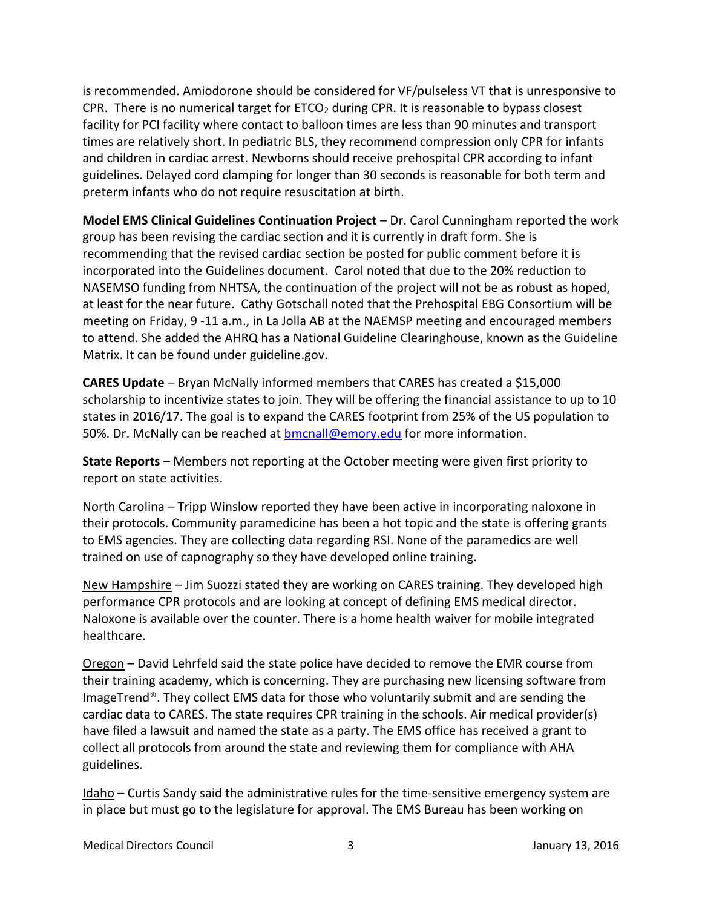is recommended. Amiodorone should be considered for VF/pulseless VT that is unresponsive to CPR. There is no numerical target for  $ETCO<sub>2</sub>$  during CPR. It is reasonable to bypass closest facility for PCI facility where contact to balloon times are less than 90 minutes and transport times are relatively short. In pediatric BLS, they recommend compression only CPR for infants and children in cardiac arrest. Newborns should receive prehospital CPR according to infant guidelines. Delayed cord clamping for longer than 30 seconds is reasonable for both term and preterm infants who do not require resuscitation at birth.

**Model EMS Clinical Guidelines Continuation Project** – Dr. Carol Cunningham reported the work group has been revising the cardiac section and it is currently in draft form. She is recommending that the revised cardiac section be posted for public comment before it is incorporated into the Guidelines document. Carol noted that due to the 20% reduction to NASEMSO funding from NHTSA, the continuation of the project will not be as robust as hoped, at least for the near future. Cathy Gotschall noted that the Prehospital EBG Consortium will be meeting on Friday, 9 -11 a.m., in La Jolla AB at the NAEMSP meeting and encouraged members to attend. She added the AHRQ has a National Guideline Clearinghouse, known as the Guideline Matrix. It can be found under guideline.gov.

**CARES Update** – Bryan McNally informed members that CARES has created a \$15,000 scholarship to incentivize states to join. They will be offering the financial assistance to up to 10 states in 2016/17. The goal is to expand the CARES footprint from 25% of the US population to 50%. Dr. McNally can be reached at **bmcnall@emory.edu** for more information.

**State Reports** – Members not reporting at the October meeting were given first priority to report on state activities.

North Carolina – Tripp Winslow reported they have been active in incorporating naloxone in their protocols. Community paramedicine has been a hot topic and the state is offering grants to EMS agencies. They are collecting data regarding RSI. None of the paramedics are well trained on use of capnography so they have developed online training.

New Hampshire – Jim Suozzi stated they are working on CARES training. They developed high performance CPR protocols and are looking at concept of defining EMS medical director. Naloxone is available over the counter. There is a home health waiver for mobile integrated healthcare.

Oregon – David Lehrfeld said the state police have decided to remove the EMR course from their training academy, which is concerning. They are purchasing new licensing software from ImageTrend®. They collect EMS data for those who voluntarily submit and are sending the cardiac data to CARES. The state requires CPR training in the schools. Air medical provider(s) have filed a lawsuit and named the state as a party. The EMS office has received a grant to collect all protocols from around the state and reviewing them for compliance with AHA guidelines.

Idaho – Curtis Sandy said the administrative rules for the time-sensitive emergency system are in place but must go to the legislature for approval. The EMS Bureau has been working on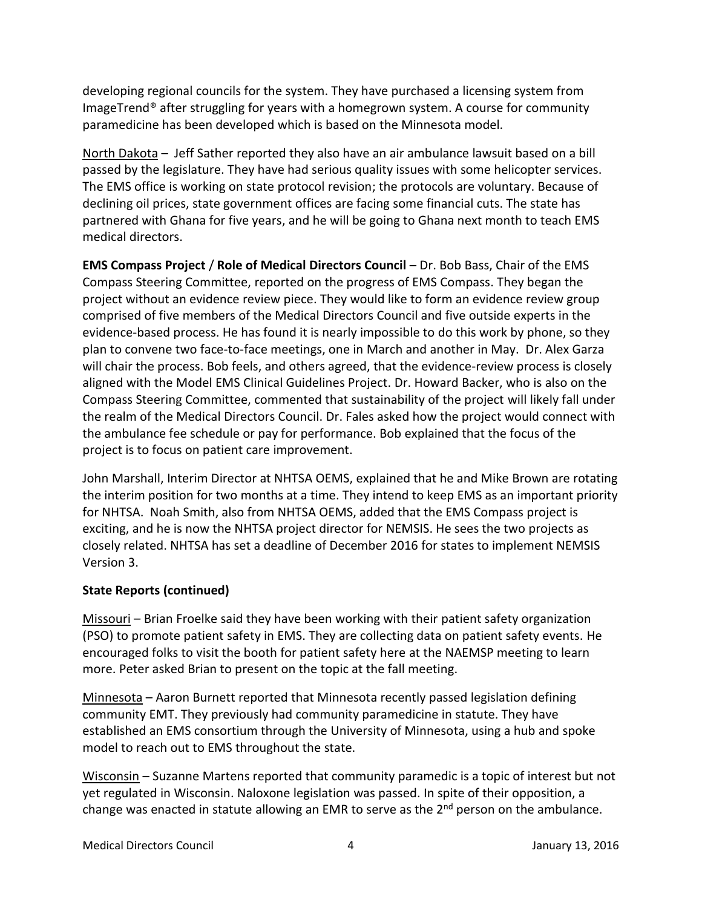developing regional councils for the system. They have purchased a licensing system from ImageTrend® after struggling for years with a homegrown system. A course for community paramedicine has been developed which is based on the Minnesota model.

North Dakota – Jeff Sather reported they also have an air ambulance lawsuit based on a bill passed by the legislature. They have had serious quality issues with some helicopter services. The EMS office is working on state protocol revision; the protocols are voluntary. Because of declining oil prices, state government offices are facing some financial cuts. The state has partnered with Ghana for five years, and he will be going to Ghana next month to teach EMS medical directors.

**EMS Compass Project** / **Role of Medical Directors Council** – Dr. Bob Bass, Chair of the EMS Compass Steering Committee, reported on the progress of EMS Compass. They began the project without an evidence review piece. They would like to form an evidence review group comprised of five members of the Medical Directors Council and five outside experts in the evidence-based process. He has found it is nearly impossible to do this work by phone, so they plan to convene two face-to-face meetings, one in March and another in May. Dr. Alex Garza will chair the process. Bob feels, and others agreed, that the evidence-review process is closely aligned with the Model EMS Clinical Guidelines Project. Dr. Howard Backer, who is also on the Compass Steering Committee, commented that sustainability of the project will likely fall under the realm of the Medical Directors Council. Dr. Fales asked how the project would connect with the ambulance fee schedule or pay for performance. Bob explained that the focus of the project is to focus on patient care improvement.

John Marshall, Interim Director at NHTSA OEMS, explained that he and Mike Brown are rotating the interim position for two months at a time. They intend to keep EMS as an important priority for NHTSA. Noah Smith, also from NHTSA OEMS, added that the EMS Compass project is exciting, and he is now the NHTSA project director for NEMSIS. He sees the two projects as closely related. NHTSA has set a deadline of December 2016 for states to implement NEMSIS Version 3.

## **State Reports (continued)**

Missouri – Brian Froelke said they have been working with their patient safety organization (PSO) to promote patient safety in EMS. They are collecting data on patient safety events. He encouraged folks to visit the booth for patient safety here at the NAEMSP meeting to learn more. Peter asked Brian to present on the topic at the fall meeting.

Minnesota – Aaron Burnett reported that Minnesota recently passed legislation defining community EMT. They previously had community paramedicine in statute. They have established an EMS consortium through the University of Minnesota, using a hub and spoke model to reach out to EMS throughout the state.

Wisconsin – Suzanne Martens reported that community paramedic is a topic of interest but not yet regulated in Wisconsin. Naloxone legislation was passed. In spite of their opposition, a change was enacted in statute allowing an EMR to serve as the  $2^{nd}$  person on the ambulance.